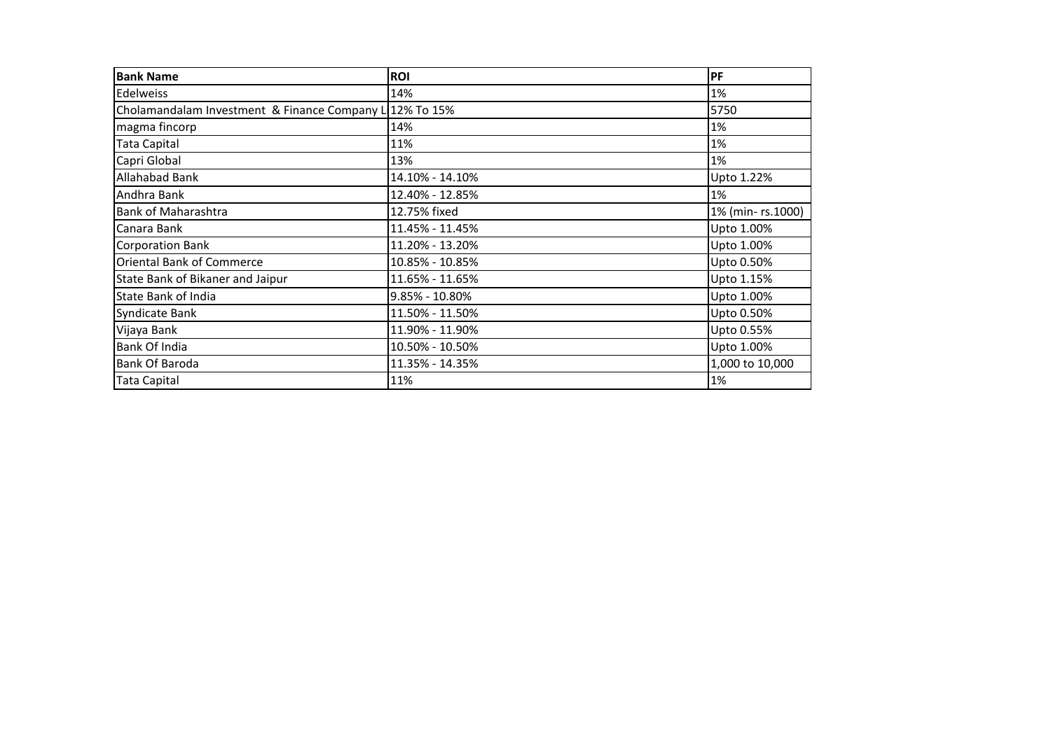| <b>Bank Name</b>                                       | <b>ROI</b>      | PF               |
|--------------------------------------------------------|-----------------|------------------|
| Edelweiss                                              | 14%             | 1%               |
| Cholamandalam Investment & Finance Company L12% To 15% |                 | 5750             |
| magma fincorp                                          | 14%             | 1%               |
| <b>Tata Capital</b>                                    | 11%             | 1%               |
| Capri Global                                           | 13%             | 1%               |
| <b>Allahabad Bank</b>                                  | 14.10% - 14.10% | Upto 1.22%       |
| Andhra Bank                                            | 12.40% - 12.85% | 1%               |
| <b>Bank of Maharashtra</b>                             | 12.75% fixed    | 1% (min-rs.1000) |
| Canara Bank                                            | 11.45% - 11.45% | Upto 1.00%       |
| <b>Corporation Bank</b>                                | 11.20% - 13.20% | Upto 1.00%       |
| <b>Oriental Bank of Commerce</b>                       | 10.85% - 10.85% | Upto 0.50%       |
| State Bank of Bikaner and Jaipur                       | 11.65% - 11.65% | Upto 1.15%       |
| <b>State Bank of India</b>                             | 9.85% - 10.80%  | Upto 1.00%       |
| Syndicate Bank                                         | 11.50% - 11.50% | Upto 0.50%       |
| Vijaya Bank                                            | 11.90% - 11.90% | Upto 0.55%       |
| <b>Bank Of India</b>                                   | 10.50% - 10.50% | Upto 1.00%       |
| Bank Of Baroda                                         | 11.35% - 14.35% | 1,000 to 10,000  |
| <b>Tata Capital</b>                                    | 11%             | 1%               |